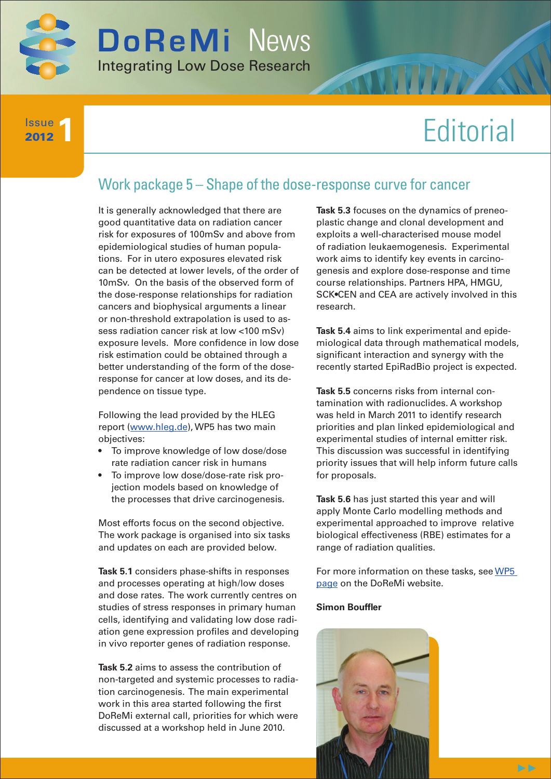

**1** Issue 2012

# **Editorial**

## Work package 5 – Shape of the dose-response curve for cancer

It is generally acknowledged that there are good quantitative data on radiation cancer risk for exposures of 100mSv and above from epidemiological studies of human populations. For in utero exposures elevated risk can be detected at lower levels, of the order of 10mSv. On the basis of the observed form of the dose-response relationships for radiation cancers and biophysical arguments a linear or non-threshold extrapolation is used to assess radiation cancer risk at low <100 mSv) exposure levels. More confidence in low dose risk estimation could be obtained through a better understanding of the form of the doseresponse for cancer at low doses, and its dependence on tissue type.

Following the lead provided by the HLEG report ([www.hleg.de\)](http://www.hleg.de/), WP5 has two main objectives:

- • To improve knowledge of low dose/dose rate radiation cancer risk in humans
- To improve low dose/dose-rate risk projection models based on knowledge of the processes that drive carcinogenesis.

Most efforts focus on the second objective. The work package is organised into six tasks and updates on each are provided below.

**Task 5.1** considers phase-shifts in responses and processes operating at high/low doses and dose rates. The work currently centres on studies of stress responses in primary human cells, identifying and validating low dose radiation gene expression profiles and developing in vivo reporter genes of radiation response.

**Task 5.2** aims to assess the contribution of non-targeted and systemic processes to radiation carcinogenesis. The main experimental work in this area started following the first DoReMi external call, priorities for which were discussed at a workshop held in June 2010.

**Task 5.3** focuses on the dynamics of preneoplastic change and clonal development and exploits a well-characterised mouse model of radiation leukaemogenesis. Experimental work aims to identify key events in carcinogenesis and explore dose-response and time course relationships. Partners HPA, HMGU, SCK•CEN and CEA are actively involved in this research.

**Task 5.4** aims to link experimental and epidemiological data through mathematical models, significant interaction and synergy with the recently started EpiRadBio project is expected.

**Task 5.5** concerns risks from internal contamination with radionuclides. A workshop was held in March 2011 to identify research priorities and plan linked epidemiological and experimental studies of internal emitter risk. This discussion was successful in identifying priority issues that will help inform future calls for proposals.

**Task 5.6** has just started this year and will apply Monte Carlo modelling methods and experimental approached to improve relative biological effectiveness (RBE) estimates for a range of radiation qualities.

For more information on these tasks, see WP5 [page](http://www.doremi-noe.net/wp5.html) on the DoReMi website.

#### **Simon Bouffler**